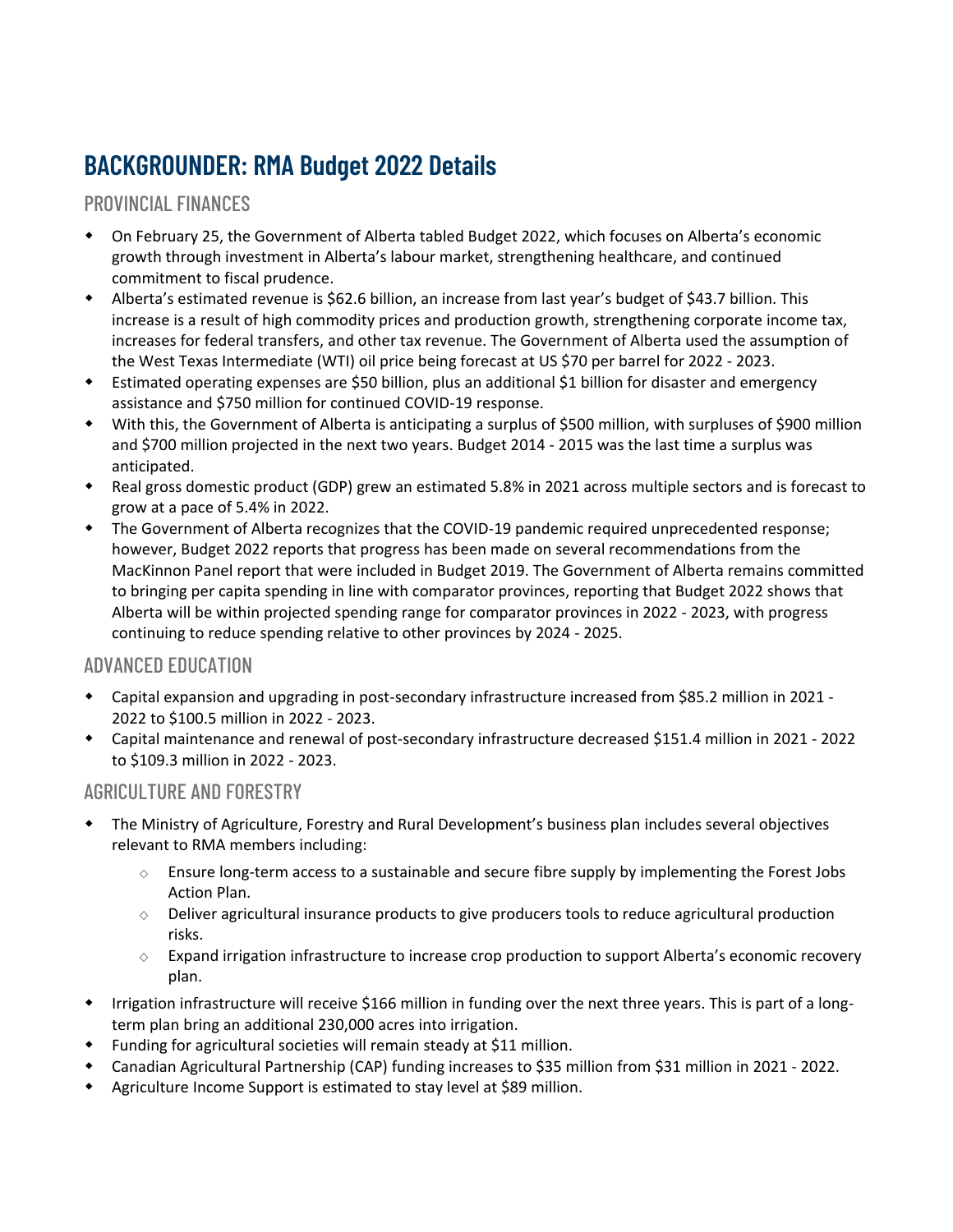# BACKGROUNDER: RMA Budget 2022 Details

## PROVINCIAL FINANCES

- On February 25, the Government of Alberta tabled Budget 2022, which focuses on Alberta's economic growth through investment in Alberta's labour market, strengthening healthcare, and continued commitment to fiscal prudence.
- Alberta's estimated revenue is \$62.6 billion, an increase from last year's budget of \$43.7 billion. This increase is a result of high commodity prices and production growth, strengthening corporate income tax, increases for federal transfers, and other tax revenue. The Government of Alberta used the assumption of the West Texas Intermediate (WTI) oil price being forecast at US \$70 per barrel for 2022 - 2023.
- Estimated operating expenses are \$50 billion, plus an additional \$1 billion for disaster and emergency assistance and \$750 million for continued COVID-19 response.
- With this, the Government of Alberta is anticipating a surplus of \$500 million, with surpluses of \$900 million and \$700 million projected in the next two years. Budget 2014 - 2015 was the last time a surplus was anticipated.
- Real gross domestic product (GDP) grew an estimated 5.8% in 2021 across multiple sectors and is forecast to grow at a pace of 5.4% in 2022.
- The Government of Alberta recognizes that the COVID-19 pandemic required unprecedented response; however, Budget 2022 reports that progress has been made on several recommendations from the MacKinnon Panel report that were included in Budget 2019. The Government of Alberta remains committed to bringing per capita spending in line with comparator provinces, reporting that Budget 2022 shows that Alberta will be within projected spending range for comparator provinces in 2022 - 2023, with progress continuing to reduce spending relative to other provinces by 2024 - 2025.

## ADVANCED EDUCATION

- Capital expansion and upgrading in post-secondary infrastructure increased from \$85.2 million in 2021 2022 to \$100.5 million in 2022 - 2023.
- Capital maintenance and renewal of post-secondary infrastructure decreased \$151.4 million in 2021 2022 to \$109.3 million in 2022 - 2023.

## AGRICULTURE AND FORESTRY

- The Ministry of Agriculture, Forestry and Rural Development's business plan includes several objectives relevant to RMA members including:
	- $\diamond$  Ensure long-term access to a sustainable and secure fibre supply by implementing the Forest Jobs Action Plan.
	- $\diamond$  Deliver agricultural insurance products to give producers tools to reduce agricultural production risks.
	- $\diamond$  Expand irrigation infrastructure to increase crop production to support Alberta's economic recovery plan.
- Irrigation infrastructure will receive \$166 million in funding over the next three years. This is part of a longterm plan bring an additional 230,000 acres into irrigation.
- Funding for agricultural societies will remain steady at \$11 million.
- Canadian Agricultural Partnership (CAP) funding increases to \$35 million from \$31 million in 2021 2022.
- Agriculture Income Support is estimated to stay level at \$89 million.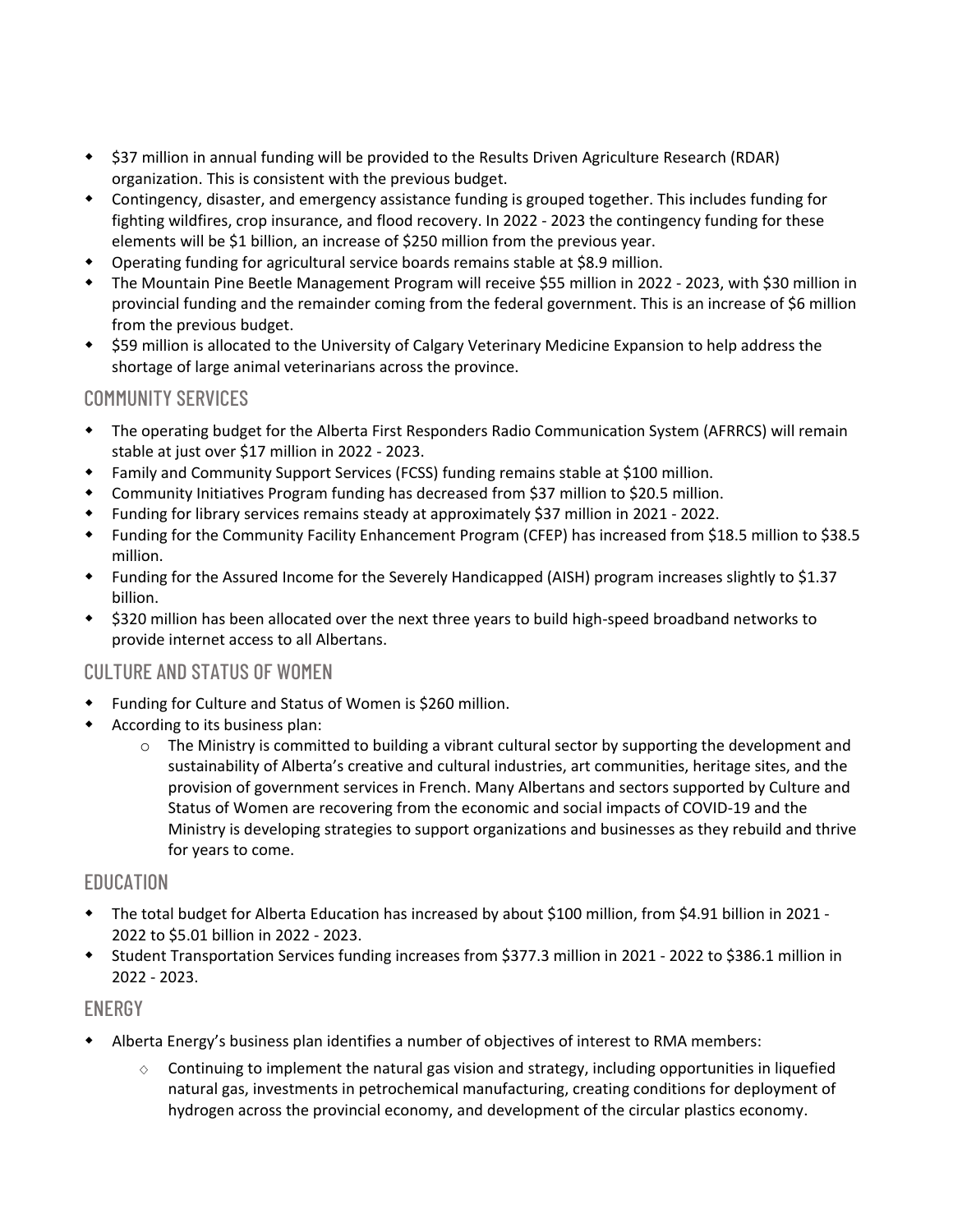- \$37 million in annual funding will be provided to the Results Driven Agriculture Research (RDAR) organization. This is consistent with the previous budget.
- Contingency, disaster, and emergency assistance funding is grouped together. This includes funding for fighting wildfires, crop insurance, and flood recovery. In 2022 - 2023 the contingency funding for these elements will be \$1 billion, an increase of \$250 million from the previous year.
- Operating funding for agricultural service boards remains stable at \$8.9 million.
- The Mountain Pine Beetle Management Program will receive \$55 million in 2022 2023, with \$30 million in provincial funding and the remainder coming from the federal government. This is an increase of \$6 million from the previous budget.
- \$59 million is allocated to the University of Calgary Veterinary Medicine Expansion to help address the shortage of large animal veterinarians across the province.

## COMMUNITY SERVICES

- The operating budget for the Alberta First Responders Radio Communication System (AFRRCS) will remain stable at just over \$17 million in 2022 - 2023.
- Family and Community Support Services (FCSS) funding remains stable at \$100 million.
- Community Initiatives Program funding has decreased from \$37 million to \$20.5 million.
- Funding for library services remains steady at approximately \$37 million in 2021 2022.
- Funding for the Community Facility Enhancement Program (CFEP) has increased from \$18.5 million to \$38.5 million.
- Funding for the Assured Income for the Severely Handicapped (AISH) program increases slightly to \$1.37 billion.
- \* \$320 million has been allocated over the next three years to build high-speed broadband networks to provide internet access to all Albertans.

#### CULTURE AND STATUS OF WOMEN

- Funding for Culture and Status of Women is \$260 million.
- According to its business plan:
	- $\circ$  The Ministry is committed to building a vibrant cultural sector by supporting the development and sustainability of Alberta's creative and cultural industries, art communities, heritage sites, and the provision of government services in French. Many Albertans and sectors supported by Culture and Status of Women are recovering from the economic and social impacts of COVID-19 and the Ministry is developing strategies to support organizations and businesses as they rebuild and thrive for years to come.

#### EDUCATION

- The total budget for Alberta Education has increased by about \$100 million, from \$4.91 billion in 2021 2022 to \$5.01 billion in 2022 - 2023.
- Student Transportation Services funding increases from \$377.3 million in 2021 2022 to \$386.1 million in 2022 - 2023.

#### ENERGY

- Alberta Energy's business plan identifies a number of objectives of interest to RMA members:
	- $\circ$  Continuing to implement the natural gas vision and strategy, including opportunities in liquefied natural gas, investments in petrochemical manufacturing, creating conditions for deployment of hydrogen across the provincial economy, and development of the circular plastics economy.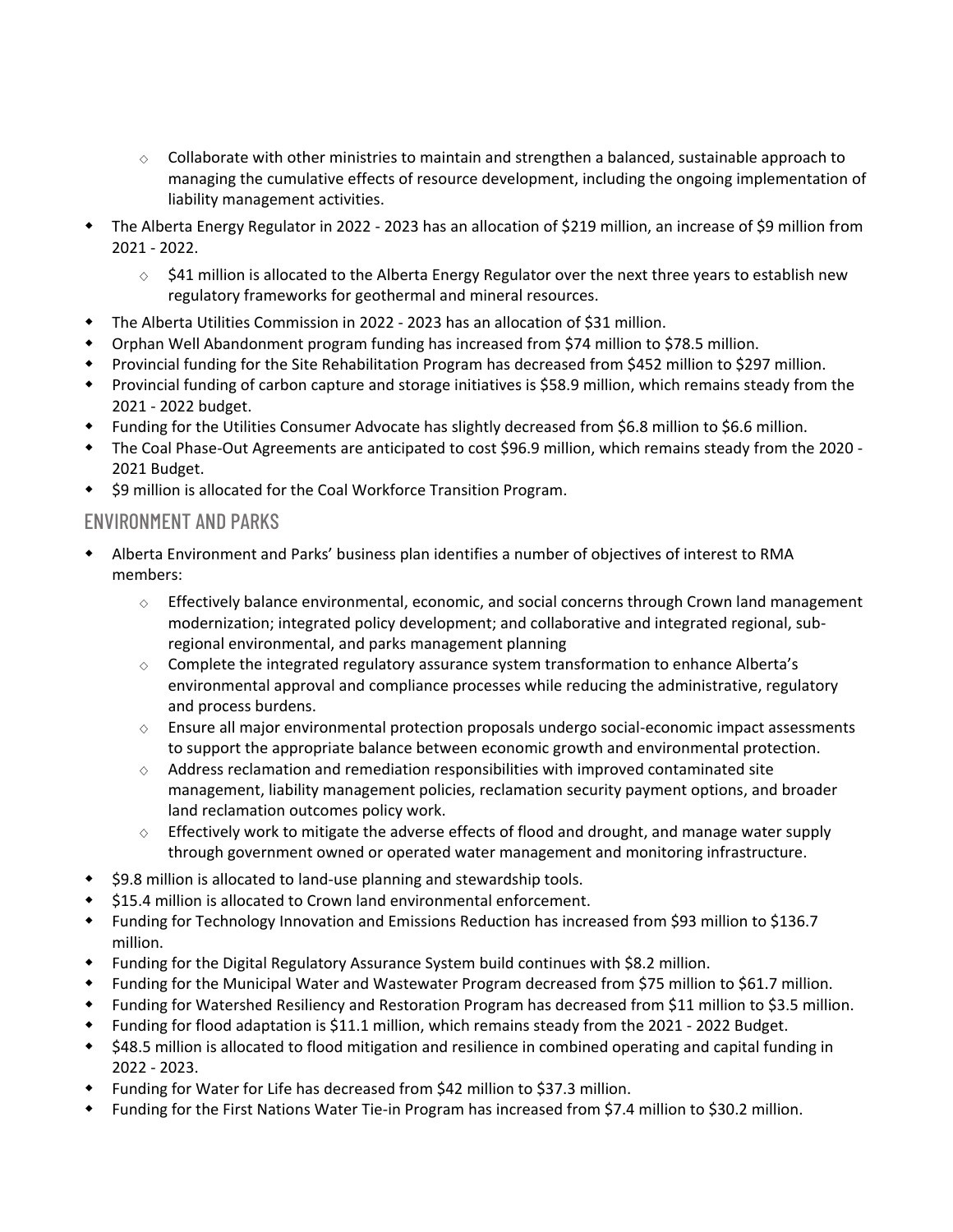- $\circ$  Collaborate with other ministries to maintain and strengthen a balanced, sustainable approach to managing the cumulative effects of resource development, including the ongoing implementation of liability management activities.
- The Alberta Energy Regulator in 2022 2023 has an allocation of \$219 million, an increase of \$9 million from 2021 - 2022.
	- \$41 million is allocated to the Alberta Energy Regulator over the next three years to establish new regulatory frameworks for geothermal and mineral resources.
- The Alberta Utilities Commission in 2022 2023 has an allocation of \$31 million.
- Orphan Well Abandonment program funding has increased from \$74 million to \$78.5 million.
- Provincial funding for the Site Rehabilitation Program has decreased from \$452 million to \$297 million.
- Provincial funding of carbon capture and storage initiatives is \$58.9 million, which remains steady from the 2021 - 2022 budget.
- Funding for the Utilities Consumer Advocate has slightly decreased from \$6.8 million to \$6.6 million.
- The Coal Phase-Out Agreements are anticipated to cost \$96.9 million, which remains steady from the 2020 2021 Budget.
- ◆ \$9 million is allocated for the Coal Workforce Transition Program.

#### ENVIRONMENT AND PARKS

- Alberta Environment and Parks' business plan identifies a number of objectives of interest to RMA members:
	- $\diamond$  Effectively balance environmental, economic, and social concerns through Crown land management modernization; integrated policy development; and collaborative and integrated regional, subregional environmental, and parks management planning
	- $\Diamond$  Complete the integrated regulatory assurance system transformation to enhance Alberta's environmental approval and compliance processes while reducing the administrative, regulatory and process burdens.
	- $\diamond$  Ensure all major environmental protection proposals undergo social-economic impact assessments to support the appropriate balance between economic growth and environmental protection.
	- $\diamond$  Address reclamation and remediation responsibilities with improved contaminated site management, liability management policies, reclamation security payment options, and broader land reclamation outcomes policy work.
	- $\Diamond$  Effectively work to mitigate the adverse effects of flood and drought, and manage water supply through government owned or operated water management and monitoring infrastructure.
- ◆ \$9.8 million is allocated to land-use planning and stewardship tools.
- ◆ \$15.4 million is allocated to Crown land environmental enforcement.
- Funding for Technology Innovation and Emissions Reduction has increased from \$93 million to \$136.7 million.
- Funding for the Digital Regulatory Assurance System build continues with \$8.2 million.
- Funding for the Municipal Water and Wastewater Program decreased from \$75 million to \$61.7 million.
- Funding for Watershed Resiliency and Restoration Program has decreased from \$11 million to \$3.5 million.
- Funding for flood adaptation is \$11.1 million, which remains steady from the 2021 2022 Budget.
- \$48.5 million is allocated to flood mitigation and resilience in combined operating and capital funding in 2022 - 2023.
- Funding for Water for Life has decreased from \$42 million to \$37.3 million.
- Funding for the First Nations Water Tie-in Program has increased from \$7.4 million to \$30.2 million.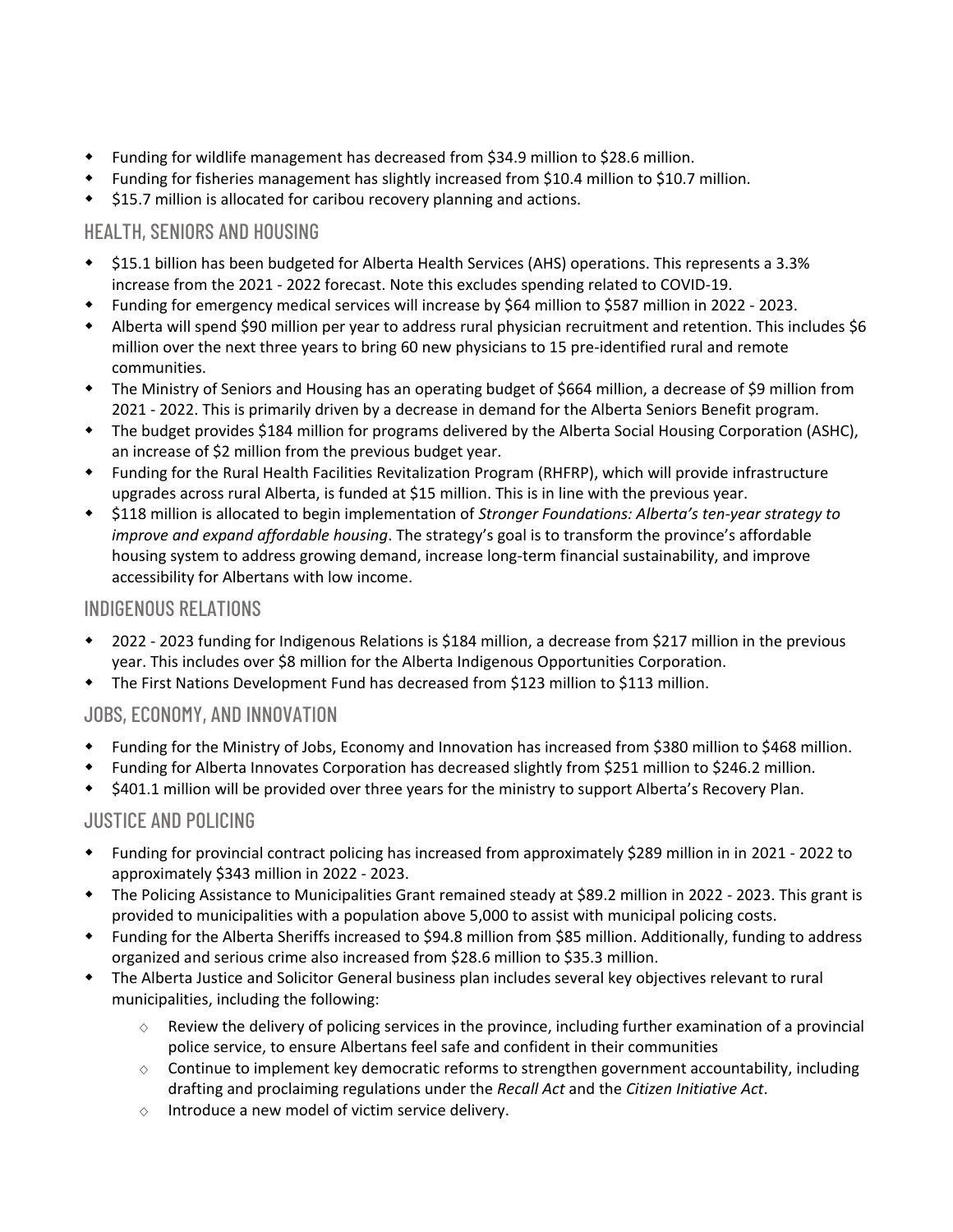- Funding for wildlife management has decreased from \$34.9 million to \$28.6 million.
- Funding for fisheries management has slightly increased from \$10.4 million to \$10.7 million.
- $\div$  \$15.7 million is allocated for caribou recovery planning and actions.

## HEALTH, SENIORS AND HOUSING

- \$15.1 billion has been budgeted for Alberta Health Services (AHS) operations. This represents a 3.3% increase from the 2021 - 2022 forecast. Note this excludes spending related to COVID-19.
- Funding for emergency medical services will increase by \$64 million to \$587 million in 2022 2023.
- Alberta will spend \$90 million per year to address rural physician recruitment and retention. This includes \$6 million over the next three years to bring 60 new physicians to 15 pre-identified rural and remote communities.
- The Ministry of Seniors and Housing has an operating budget of \$664 million, a decrease of \$9 million from 2021 - 2022. This is primarily driven by a decrease in demand for the Alberta Seniors Benefit program.
- The budget provides \$184 million for programs delivered by the Alberta Social Housing Corporation (ASHC), an increase of \$2 million from the previous budget year.
- Funding for the Rural Health Facilities Revitalization Program (RHFRP), which will provide infrastructure upgrades across rural Alberta, is funded at \$15 million. This is in line with the previous year.
- \$118 million is allocated to begin implementation of *Stronger Foundations: Alberta's ten-year strategy to improve and expand affordable housing*. The strategy's goal is to transform the province's affordable housing system to address growing demand, increase long-term financial sustainability, and improve accessibility for Albertans with low income.

## INDIGENOUS RELATIONS

- 2022 2023 funding for Indigenous Relations is \$184 million, a decrease from \$217 million in the previous year. This includes over \$8 million for the Alberta Indigenous Opportunities Corporation.
- The First Nations Development Fund has decreased from \$123 million to \$113 million.

## JOBS, ECONOMY, AND INNOVATION

- Funding for the Ministry of Jobs, Economy and Innovation has increased from \$380 million to \$468 million.
- Funding for Alberta Innovates Corporation has decreased slightly from \$251 million to \$246.2 million.
- \$401.1 million will be provided over three years for the ministry to support Alberta's Recovery Plan.

## JUSTICE AND POLICING

- Funding for provincial contract policing has increased from approximately \$289 million in in 2021 2022 to approximately \$343 million in 2022 - 2023.
- The Policing Assistance to Municipalities Grant remained steady at \$89.2 million in 2022 2023. This grant is provided to municipalities with a population above 5,000 to assist with municipal policing costs.
- Funding for the Alberta Sheriffs increased to \$94.8 million from \$85 million. Additionally, funding to address organized and serious crime also increased from \$28.6 million to \$35.3 million.
- The Alberta Justice and Solicitor General business plan includes several key objectives relevant to rural municipalities, including the following:
	- Review the delivery of policing services in the province, including further examination of a provincial police service, to ensure Albertans feel safe and confident in their communities
	- $\circ$  Continue to implement key democratic reforms to strengthen government accountability, including drafting and proclaiming regulations under the *Recall Act* and the *Citizen Initiative Act*.
	- $\diamond$  Introduce a new model of victim service delivery.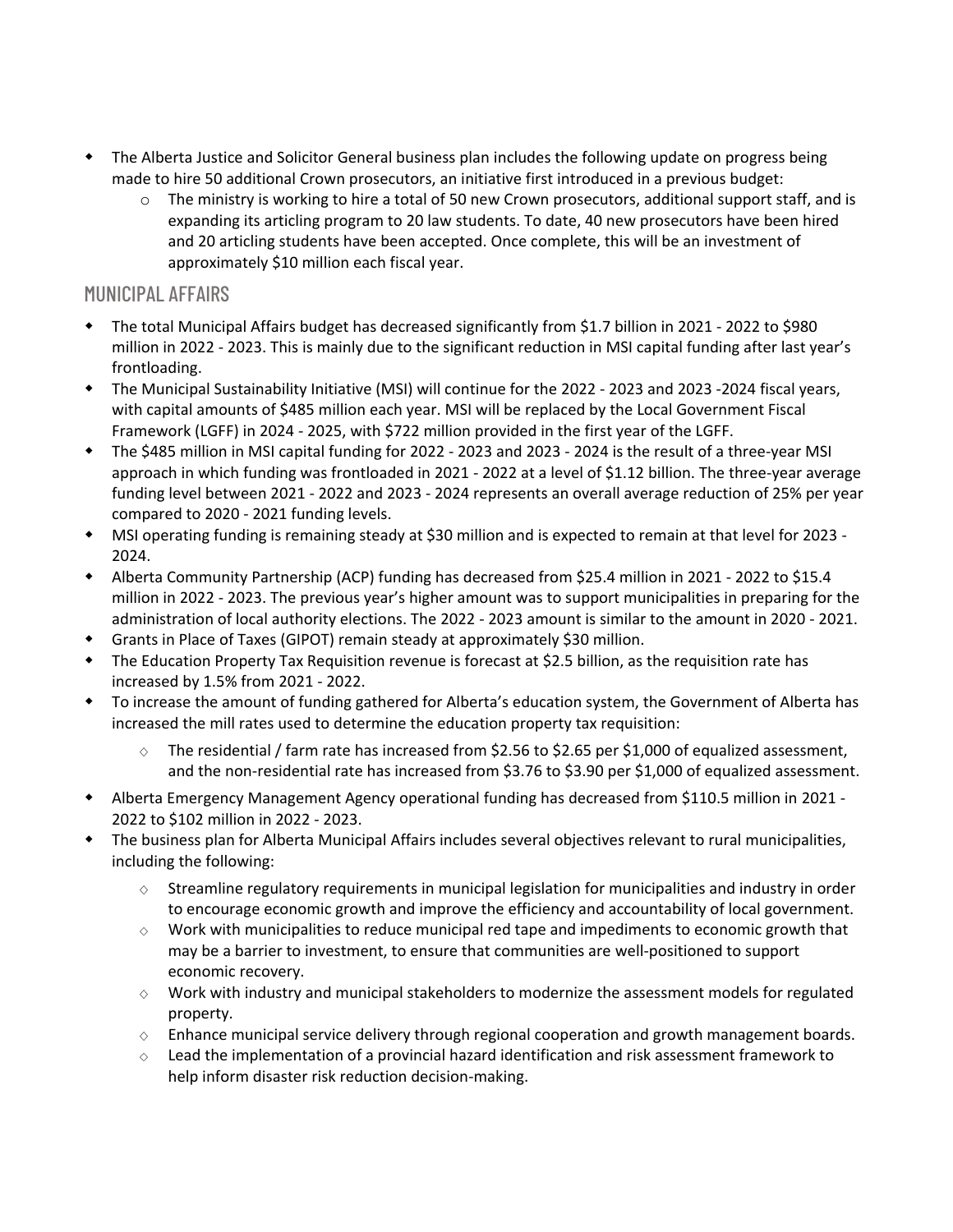- The Alberta Justice and Solicitor General business plan includes the following update on progress being made to hire 50 additional Crown prosecutors, an initiative first introduced in a previous budget:
	- $\circ$  The ministry is working to hire a total of 50 new Crown prosecutors, additional support staff, and is expanding its articling program to 20 law students. To date, 40 new prosecutors have been hired and 20 articling students have been accepted. Once complete, this will be an investment of approximately \$10 million each fiscal year.

## MUNICIPAL AFFAIRS

- The total Municipal Affairs budget has decreased significantly from \$1.7 billion in 2021 2022 to \$980 million in 2022 - 2023. This is mainly due to the significant reduction in MSI capital funding after last year's frontloading.
- The Municipal Sustainability Initiative (MSI) will continue for the 2022 2023 and 2023 -2024 fiscal years, with capital amounts of \$485 million each year. MSI will be replaced by the Local Government Fiscal Framework (LGFF) in 2024 - 2025, with \$722 million provided in the first year of the LGFF.
- The \$485 million in MSI capital funding for 2022 2023 and 2023 2024 is the result of a three-year MSI approach in which funding was frontloaded in 2021 - 2022 at a level of \$1.12 billion. The three-year average funding level between 2021 - 2022 and 2023 - 2024 represents an overall average reduction of 25% per year compared to 2020 - 2021 funding levels.
- MSI operating funding is remaining steady at \$30 million and is expected to remain at that level for 2023 2024.
- Alberta Community Partnership (ACP) funding has decreased from \$25.4 million in 2021 2022 to \$15.4 million in 2022 - 2023. The previous year's higher amount was to support municipalities in preparing for the administration of local authority elections. The 2022 - 2023 amount is similar to the amount in 2020 - 2021.
- Grants in Place of Taxes (GIPOT) remain steady at approximately \$30 million.
- The Education Property Tax Requisition revenue is forecast at \$2.5 billion, as the requisition rate has increased by 1.5% from 2021 - 2022.
- To increase the amount of funding gathered for Alberta's education system, the Government of Alberta has increased the mill rates used to determine the education property tax requisition:
	- The residential / farm rate has increased from \$2.56 to \$2.65 per \$1,000 of equalized assessment, and the non-residential rate has increased from \$3.76 to \$3.90 per \$1,000 of equalized assessment.
- Alberta Emergency Management Agency operational funding has decreased from \$110.5 million in 2021 2022 to \$102 million in 2022 - 2023.
- The business plan for Alberta Municipal Affairs includes several objectives relevant to rural municipalities, including the following:
	- $\diamond$  Streamline regulatory requirements in municipal legislation for municipalities and industry in order to encourage economic growth and improve the efficiency and accountability of local government.
	- $\diamond$  Work with municipalities to reduce municipal red tape and impediments to economic growth that may be a barrier to investment, to ensure that communities are well-positioned to support economic recovery.
	- $\diamond$  Work with industry and municipal stakeholders to modernize the assessment models for regulated property.
	- $\circ$  Enhance municipal service delivery through regional cooperation and growth management boards.
	- $\diamond$  Lead the implementation of a provincial hazard identification and risk assessment framework to help inform disaster risk reduction decision-making.